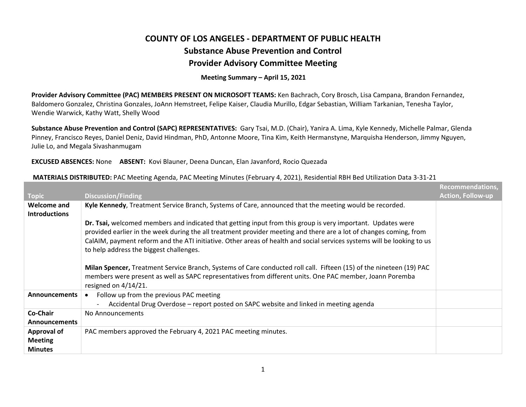## **COUNTY OF LOS ANGELES ‐ DEPARTMENT OF PUBLIC HEALTHSubstance Abuse Prevention and Control Provider Advisory Committee Meeting**

## **Meeting Summary – April 15, 2021**

**Provider Advisory Committee (PAC) MEMBERS PRESENT ON MICROSOFT TEAMS:** Ken Bachrach, Cory Brosch, Lisa Campana, Brandon Fernandez, Baldomero Gonzalez, Christina Gonzales, JoAnn Hemstreet, Felipe Kaiser, Claudia Murillo, Edgar Sebastian, William Tarkanian, Tenesha Taylor, Wendie Warwick, Kathy Watt, Shelly Wood

**Substance Abuse Prevention and Control (SAPC) REPRESENTATIVES:** Gary Tsai, M.D. (Chair), Yanira A. Lima, Kyle Kennedy, Michelle Palmar, Glenda Pinney, Francisco Reyes, Daniel Deniz, David Hindman, PhD, Antonne Moore, Tina Kim, Keith Hermanstyne, Marquisha Henderson, Jimmy Nguyen, Julie Lo, and Megala Sivashanmugam

## **EXCUSED ABSENCES:** None **ABSENT:** Kovi Blauner, Deena Duncan, Elan Javanford, Rocio Quezada

|                                            |                                                                                                                                                                                                                                                                                                                                                                                                                                                                                                                                                                                                                                                                   | Recommendations,         |
|--------------------------------------------|-------------------------------------------------------------------------------------------------------------------------------------------------------------------------------------------------------------------------------------------------------------------------------------------------------------------------------------------------------------------------------------------------------------------------------------------------------------------------------------------------------------------------------------------------------------------------------------------------------------------------------------------------------------------|--------------------------|
| <b>Topic</b>                               | <b>Discussion/Finding</b>                                                                                                                                                                                                                                                                                                                                                                                                                                                                                                                                                                                                                                         | <b>Action, Follow-up</b> |
| <b>Welcome and</b><br><b>Introductions</b> | Kyle Kennedy, Treatment Service Branch, Systems of Care, announced that the meeting would be recorded.                                                                                                                                                                                                                                                                                                                                                                                                                                                                                                                                                            |                          |
|                                            | Dr. Tsai, welcomed members and indicated that getting input from this group is very important. Updates were<br>provided earlier in the week during the all treatment provider meeting and there are a lot of changes coming, from<br>CalAIM, payment reform and the ATI initiative. Other areas of health and social services systems will be looking to us<br>to help address the biggest challenges.<br>Milan Spencer, Treatment Service Branch, Systems of Care conducted roll call. Fifteen (15) of the nineteen (19) PAC<br>members were present as well as SAPC representatives from different units. One PAC member, Joann Poremba<br>resigned on 4/14/21. |                          |
| <b>Announcements</b>                       | Follow up from the previous PAC meeting                                                                                                                                                                                                                                                                                                                                                                                                                                                                                                                                                                                                                           |                          |
|                                            | Accidental Drug Overdose - report posted on SAPC website and linked in meeting agenda<br>$\blacksquare$                                                                                                                                                                                                                                                                                                                                                                                                                                                                                                                                                           |                          |
| Co-Chair                                   | No Announcements                                                                                                                                                                                                                                                                                                                                                                                                                                                                                                                                                                                                                                                  |                          |
| <b>Announcements</b>                       |                                                                                                                                                                                                                                                                                                                                                                                                                                                                                                                                                                                                                                                                   |                          |
| <b>Approval of</b>                         | PAC members approved the February 4, 2021 PAC meeting minutes.                                                                                                                                                                                                                                                                                                                                                                                                                                                                                                                                                                                                    |                          |
| <b>Meeting</b>                             |                                                                                                                                                                                                                                                                                                                                                                                                                                                                                                                                                                                                                                                                   |                          |
| <b>Minutes</b>                             |                                                                                                                                                                                                                                                                                                                                                                                                                                                                                                                                                                                                                                                                   |                          |

## **MATERIALS DISTRIBUTED:** PAC Meeting Agenda, PAC Meeting Minutes (February 4, 2021), Residential RBH Bed Utilization Data 3‐31‐21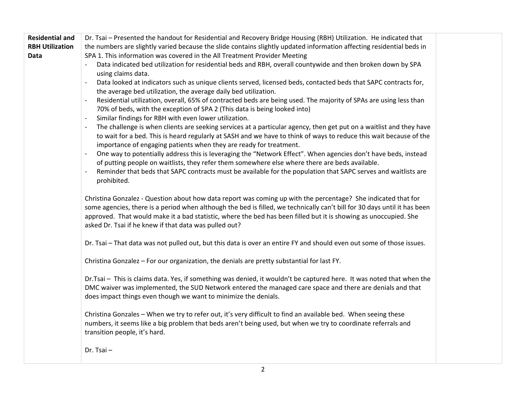| <b>Residential and</b> | Dr. Tsai - Presented the handout for Residential and Recovery Bridge Housing (RBH) Utilization. He indicated that                              |  |
|------------------------|------------------------------------------------------------------------------------------------------------------------------------------------|--|
| <b>RBH Utilization</b> | the numbers are slightly varied because the slide contains slightly updated information affecting residential beds in                          |  |
| Data                   | SPA 1. This information was covered in the All Treatment Provider Meeting                                                                      |  |
|                        | Data indicated bed utilization for residential beds and RBH, overall countywide and then broken down by SPA                                    |  |
|                        | using claims data.                                                                                                                             |  |
|                        | Data looked at indicators such as unique clients served, licensed beds, contacted beds that SAPC contracts for,                                |  |
|                        | the average bed utilization, the average daily bed utilization.                                                                                |  |
|                        | Residential utilization, overall, 65% of contracted beds are being used. The majority of SPAs are using less than                              |  |
|                        | 70% of beds, with the exception of SPA 2 (This data is being looked into)                                                                      |  |
|                        | Similar findings for RBH with even lower utilization.                                                                                          |  |
|                        | The challenge is when clients are seeking services at a particular agency, then get put on a waitlist and they have                            |  |
|                        | to wait for a bed. This is heard regularly at SASH and we have to think of ways to reduce this wait because of the                             |  |
|                        | importance of engaging patients when they are ready for treatment.                                                                             |  |
|                        | One way to potentially address this is leveraging the "Network Effect". When agencies don't have beds, instead                                 |  |
|                        | of putting people on waitlists, they refer them somewhere else where there are beds available.                                                 |  |
|                        | Reminder that beds that SAPC contracts must be available for the population that SAPC serves and waitlists are                                 |  |
|                        | prohibited.                                                                                                                                    |  |
|                        |                                                                                                                                                |  |
|                        | Christina Gonzalez - Question about how data report was coming up with the percentage? She indicated that for                                  |  |
|                        | some agencies, there is a period when although the bed is filled, we technically can't bill for 30 days until it has been                      |  |
|                        | approved. That would make it a bad statistic, where the bed has been filled but it is showing as unoccupied. She                               |  |
|                        | asked Dr. Tsai if he knew if that data was pulled out?                                                                                         |  |
|                        | Dr. Tsai - That data was not pulled out, but this data is over an entire FY and should even out some of those issues.                          |  |
|                        |                                                                                                                                                |  |
|                        | Christina Gonzalez - For our organization, the denials are pretty substantial for last FY.                                                     |  |
|                        |                                                                                                                                                |  |
|                        | Dr.Tsai - This is claims data. Yes, if something was denied, it wouldn't be captured here. It was noted that when the                          |  |
|                        | DMC waiver was implemented, the SUD Network entered the managed care space and there are denials and that                                      |  |
|                        | does impact things even though we want to minimize the denials.                                                                                |  |
|                        |                                                                                                                                                |  |
|                        | Christina Gonzales - When we try to refer out, it's very difficult to find an available bed. When seeing these                                 |  |
|                        | numbers, it seems like a big problem that beds aren't being used, but when we try to coordinate referrals and<br>transition people, it's hard. |  |
|                        |                                                                                                                                                |  |
|                        | Dr. Tsai-                                                                                                                                      |  |
|                        |                                                                                                                                                |  |
|                        |                                                                                                                                                |  |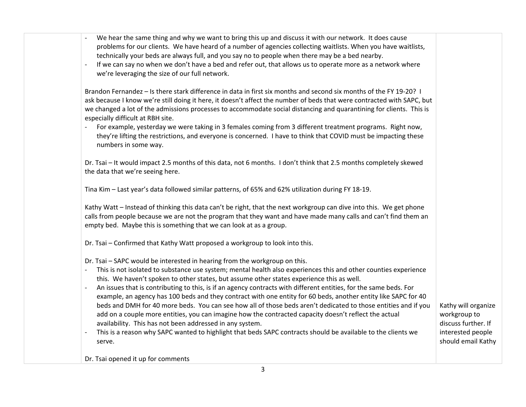| We hear the same thing and why we want to bring this up and discuss it with our network. It does cause<br>problems for our clients. We have heard of a number of agencies collecting waitlists. When you have waitlists,<br>technically your beds are always full, and you say no to people when there may be a bed nearby.<br>If we can say no when we don't have a bed and refer out, that allows us to operate more as a network where<br>we're leveraging the size of our full network.                                                                                                                                                                                                                                                                                                                                                                                                                                                        |                                                                                                       |
|----------------------------------------------------------------------------------------------------------------------------------------------------------------------------------------------------------------------------------------------------------------------------------------------------------------------------------------------------------------------------------------------------------------------------------------------------------------------------------------------------------------------------------------------------------------------------------------------------------------------------------------------------------------------------------------------------------------------------------------------------------------------------------------------------------------------------------------------------------------------------------------------------------------------------------------------------|-------------------------------------------------------------------------------------------------------|
| Brandon Fernandez - Is there stark difference in data in first six months and second six months of the FY 19-20? I<br>ask because I know we're still doing it here, it doesn't affect the number of beds that were contracted with SAPC, but<br>we changed a lot of the admissions processes to accommodate social distancing and quarantining for clients. This is<br>especially difficult at RBH site.<br>For example, yesterday we were taking in 3 females coming from 3 different treatment programs. Right now,<br>they're lifting the restrictions, and everyone is concerned. I have to think that COVID must be impacting these<br>numbers in some way.                                                                                                                                                                                                                                                                                   |                                                                                                       |
| Dr. Tsai - It would impact 2.5 months of this data, not 6 months. I don't think that 2.5 months completely skewed<br>the data that we're seeing here.                                                                                                                                                                                                                                                                                                                                                                                                                                                                                                                                                                                                                                                                                                                                                                                              |                                                                                                       |
| Tina Kim - Last year's data followed similar patterns, of 65% and 62% utilization during FY 18-19.                                                                                                                                                                                                                                                                                                                                                                                                                                                                                                                                                                                                                                                                                                                                                                                                                                                 |                                                                                                       |
| Kathy Watt - Instead of thinking this data can't be right, that the next workgroup can dive into this. We get phone<br>calls from people because we are not the program that they want and have made many calls and can't find them an<br>empty bed. Maybe this is something that we can look at as a group.                                                                                                                                                                                                                                                                                                                                                                                                                                                                                                                                                                                                                                       |                                                                                                       |
| Dr. Tsai - Confirmed that Kathy Watt proposed a workgroup to look into this.                                                                                                                                                                                                                                                                                                                                                                                                                                                                                                                                                                                                                                                                                                                                                                                                                                                                       |                                                                                                       |
| Dr. Tsai - SAPC would be interested in hearing from the workgroup on this.<br>This is not isolated to substance use system; mental health also experiences this and other counties experience<br>this. We haven't spoken to other states, but assume other states experience this as well.<br>An issues that is contributing to this, is if an agency contracts with different entities, for the same beds. For<br>example, an agency has 100 beds and they contract with one entity for 60 beds, another entity like SAPC for 40<br>beds and DMH for 40 more beds. You can see how all of those beds aren't dedicated to those entities and if you<br>add on a couple more entities, you can imagine how the contracted capacity doesn't reflect the actual<br>availability. This has not been addressed in any system.<br>This is a reason why SAPC wanted to highlight that beds SAPC contracts should be available to the clients we<br>serve. | Kathy will organize<br>workgroup to<br>discuss further. If<br>interested people<br>should email Kathy |
|                                                                                                                                                                                                                                                                                                                                                                                                                                                                                                                                                                                                                                                                                                                                                                                                                                                                                                                                                    |                                                                                                       |

Dr. Tsai opened it up for comments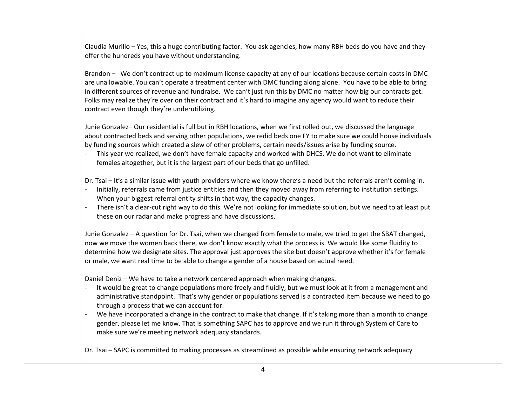Claudia Murillo – Yes, this <sup>a</sup> huge contributing factor. You ask agencies, how many RBH beds do you have and they offer the hundreds you have without understanding.

Brandon – We don't contract up to maximum license capacity at any of our locations because certain costs in DMC are unallowable. You can't operate <sup>a</sup> treatment center with DMC funding along alone. You have to be able to bring in different sources of revenue and fundraise. We can't just run this by DMC no matter how big our contracts get. Folks may realize they're over on their contract and it's hard to imagine any agency would want to reduce their contract even though they're underutilizing.

Junie Gonzalez– Our residential is full but in RBH locations, when we first rolled out, we discussed the language about contracted beds and serving other populations, we redid beds one FY to make sure we could house individuals by funding sources which created <sup>a</sup> slew of other problems, certain needs/issues arise by funding source.

 This year we realized, we don't have female capacity and worked with DHCS. We do not want to eliminate females altogether, but it is the largest part of our beds that go unfilled.

Dr. Tsai – It's <sup>a</sup> similar issue with youth providers where we know there's <sup>a</sup> need but the referrals aren't coming in.

- Initially, referrals came from justice entities and then they moved away from referring to institution settings. When your biggest referral entity shifts in that way, the capacity changes.
- There isn't <sup>a</sup> clear‐cut right way to do this. We're not looking for immediate solution, but we need to at least put these on our radar and make progress and have discussions.

Junie Gonzalez – A question for Dr. Tsai, when we changed from female to male, we tried to get the SBAT changed, now we move the women back there, we don't know exactly what the process is. We would like some fluidity to determine how we designate sites. The approval just approves the site but doesn't approve whether it's for female or male, we want real time to be able to change <sup>a</sup> gender of <sup>a</sup> house based on actual need.

Daniel Deniz – We have to take <sup>a</sup> network centered approach when making changes.

- It would be great to change populations more freely and fluidly, but we must look at it from <sup>a</sup> management and administrative standpoint. That's why gender or populations served is <sup>a</sup> contracted item because we need to go through <sup>a</sup> process that we can account for.
- We have incorporated <sup>a</sup> change in the contract to make that change. If it's taking more than <sup>a</sup> month to change gender, please let me know. That is something SAPC has to approve and we run it through System of Care to make sure we're meeting network adequacy standards.

Dr. Tsai – SAPC is committed to making processes as streamlined as possible while ensuring network adequacy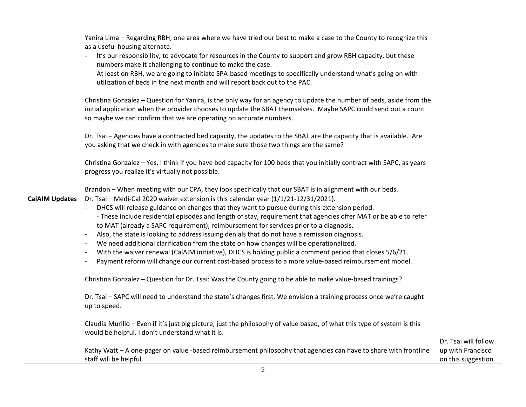|                       | Yanira Lima - Regarding RBH, one area where we have tried our best to make a case to the County to recognize this<br>as a useful housing alternate.<br>It's our responsibility, to advocate for resources in the County to support and grow RBH capacity, but these<br>numbers make it challenging to continue to make the case.<br>At least on RBH, we are going to initiate SPA-based meetings to specifically understand what's going on with<br>$\overline{\phantom{a}}$<br>utilization of beds in the next month and will report back out to the PAC.<br>Christina Gonzalez – Question for Yanira, is the only way for an agency to update the number of beds, aside from the<br>initial application when the provider chooses to update the SBAT themselves. Maybe SAPC could send out a count<br>so maybe we can confirm that we are operating on accurate numbers.<br>Dr. Tsai - Agencies have a contracted bed capacity, the updates to the SBAT are the capacity that is available. Are<br>you asking that we check in with agencies to make sure those two things are the same?<br>Christina Gonzalez - Yes, I think if you have bed capacity for 100 beds that you initially contract with SAPC, as years<br>progress you realize it's virtually not possible. |                                                                 |
|-----------------------|----------------------------------------------------------------------------------------------------------------------------------------------------------------------------------------------------------------------------------------------------------------------------------------------------------------------------------------------------------------------------------------------------------------------------------------------------------------------------------------------------------------------------------------------------------------------------------------------------------------------------------------------------------------------------------------------------------------------------------------------------------------------------------------------------------------------------------------------------------------------------------------------------------------------------------------------------------------------------------------------------------------------------------------------------------------------------------------------------------------------------------------------------------------------------------------------------------------------------------------------------------------------------|-----------------------------------------------------------------|
|                       |                                                                                                                                                                                                                                                                                                                                                                                                                                                                                                                                                                                                                                                                                                                                                                                                                                                                                                                                                                                                                                                                                                                                                                                                                                                                            |                                                                 |
|                       | Brandon - When meeting with our CPA, they look specifically that our SBAT is in alignment with our beds.                                                                                                                                                                                                                                                                                                                                                                                                                                                                                                                                                                                                                                                                                                                                                                                                                                                                                                                                                                                                                                                                                                                                                                   |                                                                 |
| <b>CalAIM Updates</b> | Dr. Tsai - Medi-Cal 2020 waiver extension is this calendar year (1/1/21-12/31/2021).<br>DHCS will release guidance on changes that they want to pursue during this extension period.<br>- These include residential episodes and length of stay, requirement that agencies offer MAT or be able to refer<br>to MAT (already a SAPC requirement), reimbursement for services prior to a diagnosis.<br>Also, the state is looking to address issuing denials that do not have a remission diagnosis.<br>We need additional clarification from the state on how changes will be operationalized.<br>$\overline{\phantom{a}}$<br>With the waiver renewal (CalAIM initiative), DHCS is holding public a comment period that closes 5/6/21.<br>$\overline{\phantom{a}}$<br>Payment reform will change our current cost-based process to a more value-based reimbursement model.<br>$\overline{\phantom{a}}$<br>Christina Gonzalez - Question for Dr. Tsai: Was the County going to be able to make value-based trainings?                                                                                                                                                                                                                                                        |                                                                 |
|                       | Dr. Tsai - SAPC will need to understand the state's changes first. We envision a training process once we're caught<br>up to speed.                                                                                                                                                                                                                                                                                                                                                                                                                                                                                                                                                                                                                                                                                                                                                                                                                                                                                                                                                                                                                                                                                                                                        |                                                                 |
|                       | Claudia Murillo - Even if it's just big picture, just the philosophy of value based, of what this type of system is this<br>would be helpful. I don't understand what it is.                                                                                                                                                                                                                                                                                                                                                                                                                                                                                                                                                                                                                                                                                                                                                                                                                                                                                                                                                                                                                                                                                               |                                                                 |
|                       | Kathy Watt - A one-pager on value -based reimbursement philosophy that agencies can have to share with frontline<br>staff will be helpful.                                                                                                                                                                                                                                                                                                                                                                                                                                                                                                                                                                                                                                                                                                                                                                                                                                                                                                                                                                                                                                                                                                                                 | Dr. Tsai will follow<br>up with Francisco<br>on this suggestion |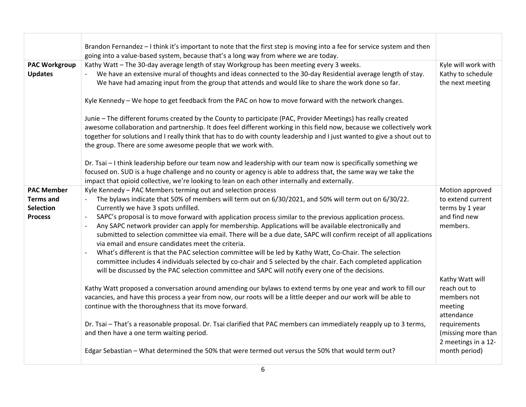| Brandon Fernandez - I think it's important to note that the first step is moving into a fee for service system and then                                         |                                    |
|-----------------------------------------------------------------------------------------------------------------------------------------------------------------|------------------------------------|
| going into a value-based system, because that's a long way from where we are today.                                                                             |                                    |
| Kathy Watt - The 30-day average length of stay Workgroup has been meeting every 3 weeks.<br><b>PAC Workgroup</b>                                                | Kyle will work with                |
| We have an extensive mural of thoughts and ideas connected to the 30-day Residential average length of stay.<br><b>Updates</b>                                  | Kathy to schedule                  |
| We have had amazing input from the group that attends and would like to share the work done so far.                                                             | the next meeting                   |
|                                                                                                                                                                 |                                    |
| Kyle Kennedy - We hope to get feedback from the PAC on how to move forward with the network changes.                                                            |                                    |
| Junie - The different forums created by the County to participate (PAC, Provider Meetings) has really created                                                   |                                    |
| awesome collaboration and partnership. It does feel different working in this field now, because we collectively work                                           |                                    |
| together for solutions and I really think that has to do with county leadership and I just wanted to give a shout out to                                        |                                    |
| the group. There are some awesome people that we work with.                                                                                                     |                                    |
|                                                                                                                                                                 |                                    |
| Dr. Tsai - I think leadership before our team now and leadership with our team now is specifically something we                                                 |                                    |
| focused on. SUD is a huge challenge and no county or agency is able to address that, the same way we take the                                                   |                                    |
| impact that opioid collective, we're looking to lean on each other internally and externally.                                                                   |                                    |
| Kyle Kennedy - PAC Members terming out and selection process<br><b>PAC Member</b>                                                                               | Motion approved                    |
| The bylaws indicate that 50% of members will term out on 6/30/2021, and 50% will term out on 6/30/22.<br><b>Terms and</b><br>$\sim$                             | to extend current                  |
| <b>Selection</b><br>Currently we have 3 spots unfilled.                                                                                                         | terms by 1 year                    |
| SAPC's proposal is to move forward with application process similar to the previous application process.<br><b>Process</b>                                      | and find new                       |
| Any SAPC network provider can apply for membership. Applications will be available electronically and                                                           | members.                           |
| submitted to selection committee via email. There will be a due date, SAPC will confirm receipt of all applications                                             |                                    |
| via email and ensure candidates meet the criteria.                                                                                                              |                                    |
| What's different is that the PAC selection committee will be led by Kathy Watt, Co-Chair. The selection<br>$\overline{\phantom{a}}$                             |                                    |
| committee includes 4 individuals selected by co-chair and 5 selected by the chair. Each completed application                                                   |                                    |
| will be discussed by the PAC selection committee and SAPC will notify every one of the decisions.                                                               |                                    |
|                                                                                                                                                                 | Kathy Watt will                    |
| Kathy Watt proposed a conversation around amending our bylaws to extend terms by one year and work to fill our                                                  | reach out to                       |
| vacancies, and have this process a year from now, our roots will be a little deeper and our work will be able to                                                | members not                        |
| continue with the thoroughness that its move forward.                                                                                                           | meeting                            |
|                                                                                                                                                                 | attendance                         |
| Dr. Tsai - That's a reasonable proposal. Dr. Tsai clarified that PAC members can immediately reapply up to 3 terms,<br>and then have a one term waiting period. | requirements<br>(missing more than |
|                                                                                                                                                                 | 2 meetings in a 12-                |
| Edgar Sebastian - What determined the 50% that were termed out versus the 50% that would term out?                                                              | month period)                      |
|                                                                                                                                                                 |                                    |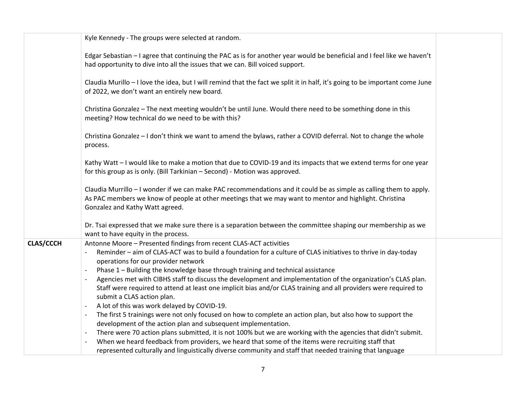|                  | Kyle Kennedy - The groups were selected at random.                                                                                                                                                                                                                                                                                                                                                                                                                                                                                                                                                                                                                                                                                                                                                                                                                                                                                                                                                                                                                                |
|------------------|-----------------------------------------------------------------------------------------------------------------------------------------------------------------------------------------------------------------------------------------------------------------------------------------------------------------------------------------------------------------------------------------------------------------------------------------------------------------------------------------------------------------------------------------------------------------------------------------------------------------------------------------------------------------------------------------------------------------------------------------------------------------------------------------------------------------------------------------------------------------------------------------------------------------------------------------------------------------------------------------------------------------------------------------------------------------------------------|
|                  | Edgar Sebastian - I agree that continuing the PAC as is for another year would be beneficial and I feel like we haven't<br>had opportunity to dive into all the issues that we can. Bill voiced support.                                                                                                                                                                                                                                                                                                                                                                                                                                                                                                                                                                                                                                                                                                                                                                                                                                                                          |
|                  | Claudia Murillo - I love the idea, but I will remind that the fact we split it in half, it's going to be important come June<br>of 2022, we don't want an entirely new board.                                                                                                                                                                                                                                                                                                                                                                                                                                                                                                                                                                                                                                                                                                                                                                                                                                                                                                     |
|                  | Christina Gonzalez - The next meeting wouldn't be until June. Would there need to be something done in this<br>meeting? How technical do we need to be with this?                                                                                                                                                                                                                                                                                                                                                                                                                                                                                                                                                                                                                                                                                                                                                                                                                                                                                                                 |
|                  | Christina Gonzalez - I don't think we want to amend the bylaws, rather a COVID deferral. Not to change the whole<br>process.                                                                                                                                                                                                                                                                                                                                                                                                                                                                                                                                                                                                                                                                                                                                                                                                                                                                                                                                                      |
|                  | Kathy Watt - I would like to make a motion that due to COVID-19 and its impacts that we extend terms for one year<br>for this group as is only. (Bill Tarkinian - Second) - Motion was approved.                                                                                                                                                                                                                                                                                                                                                                                                                                                                                                                                                                                                                                                                                                                                                                                                                                                                                  |
|                  | Claudia Murrillo – I wonder if we can make PAC recommendations and it could be as simple as calling them to apply.<br>As PAC members we know of people at other meetings that we may want to mentor and highlight. Christina<br>Gonzalez and Kathy Watt agreed.                                                                                                                                                                                                                                                                                                                                                                                                                                                                                                                                                                                                                                                                                                                                                                                                                   |
|                  | Dr. Tsai expressed that we make sure there is a separation between the committee shaping our membership as we<br>want to have equity in the process.                                                                                                                                                                                                                                                                                                                                                                                                                                                                                                                                                                                                                                                                                                                                                                                                                                                                                                                              |
| <b>CLAS/CCCH</b> | Antonne Moore - Presented findings from recent CLAS-ACT activities<br>Reminder - aim of CLAS-ACT was to build a foundation for a culture of CLAS initiatives to thrive in day-today<br>operations for our provider network<br>Phase 1 - Building the knowledge base through training and technical assistance<br>Agencies met with CIBHS staff to discuss the development and implementation of the organization's CLAS plan.<br>Staff were required to attend at least one implicit bias and/or CLAS training and all providers were required to<br>submit a CLAS action plan.<br>A lot of this was work delayed by COVID-19.<br>$\overline{a}$<br>The first 5 trainings were not only focused on how to complete an action plan, but also how to support the<br>development of the action plan and subsequent implementation.<br>There were 70 action plans submitted, it is not 100% but we are working with the agencies that didn't submit.<br>$\overline{\phantom{a}}$<br>When we heard feedback from providers, we heard that some of the items were recruiting staff that |
|                  | represented culturally and linguistically diverse community and staff that needed training that language                                                                                                                                                                                                                                                                                                                                                                                                                                                                                                                                                                                                                                                                                                                                                                                                                                                                                                                                                                          |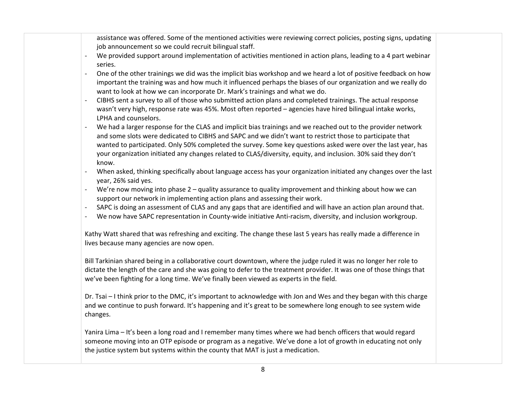assistance was offered. Some of the mentioned activities were reviewing correct policies, posting signs, updating job announcement so we could recruit bilingual staff.

- We provided support around implementation of activities mentioned in action plans, leading to <sup>a</sup> 4 part webinar series.
- ‐ One of the other trainings we did was the implicit bias workshop and we heard <sup>a</sup> lot of positive feedback on how important the training was and how much it influenced perhaps the biases of our organization and we really do want to look at how we can incorporate Dr. Mark's trainings and what we do.
- ‐ CIBHS sent a survey to all of those who submitted action plans and completed trainings. The actual response wasn't very high, response rate was 45%. Most often reported – agencies have hired bilingual intake works, LPHA and counselors.
- ‐ We had <sup>a</sup> larger response for the CLAS and implicit bias trainings and we reached out to the provider network and some slots were dedicated to CIBHS and SAPC and we didn't want to restrict those to participate that wanted to participated. Only 50% completed the survey. Some key questions asked were over the last year, has your organization initiated any changes related to CLAS/diversity, equity, and inclusion. 30% said they don't know.
- ‐ When asked, thinking specifically about language access has your organization initiated any changes over the last year, 26% said yes.
- ‐ We're now moving into phase 2 quality assurance to quality improvement and thinking about how we can support our network in implementing action plans and assessing their work.
- ‐ SAPC is doing an assessment of CLAS and any gaps that are identified and will have an action plan around that.
- We now have SAPC representation in County‐wide initiative Anti‐racism, diversity, and inclusion workgroup.

Kathy Watt shared that was refreshing and exciting. The change these last 5 years has really made <sup>a</sup> difference in lives because many agencies are now open.

Bill Tarkinian shared being in <sup>a</sup> collaborative court downtown, where the judge ruled it was no longer her role to dictate the length of the care and she was going to defer to the treatment provider. It was one of those things that we've been fighting for <sup>a</sup> long time. We've finally been viewed as experts in the field.

Dr. Tsai – I think prior to the DMC, it's important to acknowledge with Jon and Wes and they began with this charge and we continue to push forward. It's happening and it's great to be somewhere long enough to see system wide changes.

Yanira Lima – It's been <sup>a</sup> long road and I remember many times where we had bench officers that would regard someone moving into an OTP episode or program as <sup>a</sup> negative. We've done <sup>a</sup> lot of growth in educating not only the justice system but systems within the county that MAT is just <sup>a</sup> medication.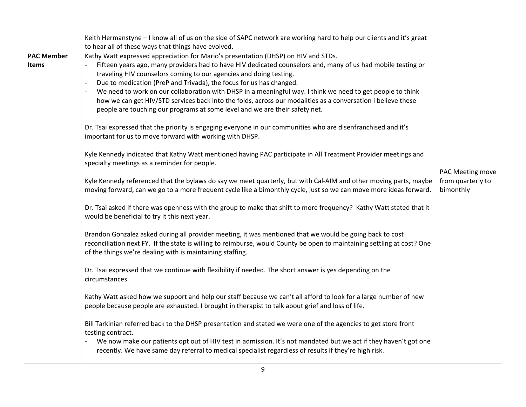|                   | Keith Hermanstyne - I know all of us on the side of SAPC network are working hard to help our clients and it's great    |                   |
|-------------------|-------------------------------------------------------------------------------------------------------------------------|-------------------|
|                   | to hear all of these ways that things have evolved.                                                                     |                   |
| <b>PAC Member</b> | Kathy Watt expressed appreciation for Mario's presentation (DHSP) on HIV and STDs.                                      |                   |
| <b>Items</b>      | Fifteen years ago, many providers had to have HIV dedicated counselors and, many of us had mobile testing or            |                   |
|                   | traveling HIV counselors coming to our agencies and doing testing.                                                      |                   |
|                   | Due to medication (PreP and Trivada), the focus for us has changed.<br>$\overline{\phantom{a}}$                         |                   |
|                   | We need to work on our collaboration with DHSP in a meaningful way. I think we need to get people to think              |                   |
|                   | how we can get HIV/STD services back into the folds, across our modalities as a conversation I believe these            |                   |
|                   | people are touching our programs at some level and we are their safety net.                                             |                   |
|                   | Dr. Tsai expressed that the priority is engaging everyone in our communities who are disenfranchised and it's           |                   |
|                   | important for us to move forward with working with DHSP.                                                                |                   |
|                   | Kyle Kennedy indicated that Kathy Watt mentioned having PAC participate in All Treatment Provider meetings and          |                   |
|                   | specialty meetings as a reminder for people.                                                                            |                   |
|                   |                                                                                                                         | PAC Meeting move  |
|                   | Kyle Kennedy referenced that the bylaws do say we meet quarterly, but with Cal-AIM and other moving parts, maybe        | from quarterly to |
|                   | moving forward, can we go to a more frequent cycle like a bimonthly cycle, just so we can move more ideas forward.      | bimonthly         |
|                   | Dr. Tsai asked if there was openness with the group to make that shift to more frequency? Kathy Watt stated that it     |                   |
|                   | would be beneficial to try it this next year.                                                                           |                   |
|                   | Brandon Gonzalez asked during all provider meeting, it was mentioned that we would be going back to cost                |                   |
|                   | reconciliation next FY. If the state is willing to reimburse, would County be open to maintaining settling at cost? One |                   |
|                   | of the things we're dealing with is maintaining staffing.                                                               |                   |
|                   | Dr. Tsai expressed that we continue with flexibility if needed. The short answer is yes depending on the                |                   |
|                   | circumstances.                                                                                                          |                   |
|                   |                                                                                                                         |                   |
|                   | Kathy Watt asked how we support and help our staff because we can't all afford to look for a large number of new        |                   |
|                   | people because people are exhausted. I brought in therapist to talk about grief and loss of life.                       |                   |
|                   | Bill Tarkinian referred back to the DHSP presentation and stated we were one of the agencies to get store front         |                   |
|                   | testing contract.                                                                                                       |                   |
|                   | We now make our patients opt out of HIV test in admission. It's not mandated but we act if they haven't got one         |                   |
|                   | recently. We have same day referral to medical specialist regardless of results if they're high risk.                   |                   |
|                   |                                                                                                                         |                   |